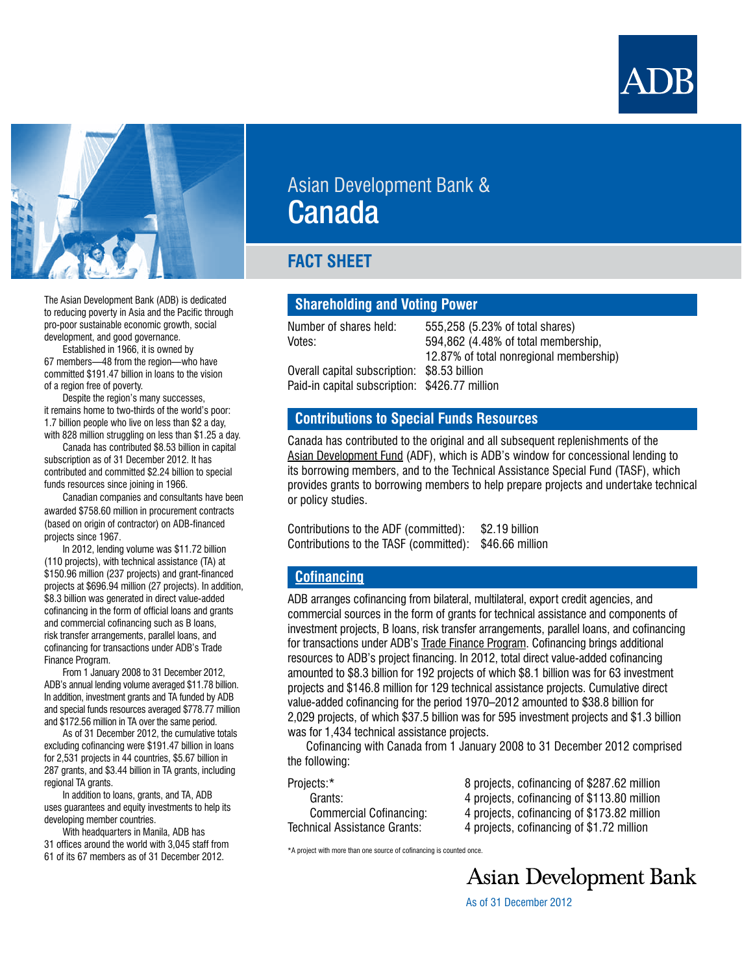



The Asian Development Bank (ADB) is dedicated to reducing poverty in Asia and the Pacific through pro-poor sustainable economic growth, social development, and good governance.

Established in 1966, it is owned by 67 members—48 from the region—who have committed \$191.47 billion in loans to the vision of a region free of poverty.

Despite the region's many successes, it remains home to two-thirds of the world's poor: 1.7 billion people who live on less than \$2 a day, with 828 million struggling on less than \$1.25 a day.

Canada has contributed \$8.53 billion in capital subscription as of 31 December 2012. It has contributed and committed \$2.24 billion to special funds resources since joining in 1966.

Canadian companies and consultants have been awarded \$758.60 million in procurement contracts (based on origin of contractor) on ADB-financed projects since 1967.

In 2012, lending volume was \$11.72 billion (110 projects), with technical assistance (TA) at \$150.96 million (237 projects) and grant-financed projects at \$696.94 million (27 projects). In addition, \$8.3 billion was generated in direct value-added cofinancing in the form of official loans and grants and commercial cofinancing such as B loans, risk transfer arrangements, parallel loans, and cofinancing for transactions under ADB's Trade Finance Program.

From 1 January 2008 to 31 December 2012, ADB's annual lending volume averaged \$11.78 billion. In addition, investment grants and TA funded by ADB and special funds resources averaged \$778.77 million and \$172.56 million in TA over the same period.

As of 31 December 2012, the cumulative totals excluding cofinancing were \$191.47 billion in loans for 2,531 projects in 44 countries, \$5.67 billion in 287 grants, and \$3.44 billion in TA grants, including regional TA grants.

In addition to loans, grants, and TA, ADB uses guarantees and equity investments to help its developing member countries.

With headquarters in Manila, ADB has 31 offices around the world with 3,045 staff from 61 of its 67 members as of 31 December 2012.

# Asian Development Bank & Canada

## **FACT SHEET**

## **Shareholding and Voting Power**

Number of shares held: 555,258 (5.23% of total shares) Votes: 594,862 (4.48% of total membership, 12.87% of total nonregional membership) Overall capital subscription: \$8.53 billion Paid-in capital subscription: \$426.77 million

## **Contributions to Special Funds Resources**

Canada has contributed to the original and all subsequent replenishments of the [Asian Development Fund](www.adb.org/site/adf/main) (ADF), which is ADB's window for concessional lending to its borrowing members, and to the Technical Assistance Special Fund (TASF), which provides grants to borrowing members to help prepare projects and undertake technical or policy studies.

Contributions to the ADF (committed): \$2.19 billion Contributions to the TASF (committed): \$46.66 million

## **[Cofinancing](http://adb.org/site/public-sector-financing/official-cofinancing)**

ADB arranges cofinancing from bilateral, multilateral, export credit agencies, and commercial sources in the form of grants for technical assistance and components of investment projects, B loans, risk transfer arrangements, parallel loans, and cofinancing for transactions under ADB's [Trade Finance Program.](http://www.adb.org/site/private-sector-financing/trade-finance-program) Cofinancing brings additional resources to ADB's project financing. In 2012, total direct value-added cofinancing amounted to \$8.3 billion for 192 projects of which \$8.1 billion was for 63 investment projects and \$146.8 million for 129 technical assistance projects. Cumulative direct value-added cofinancing for the period 1970–2012 amounted to \$38.8 billion for 2,029 projects, of which \$37.5 billion was for 595 investment projects and \$1.3 billion was for 1,434 technical assistance projects.

Cofinancing with Canada from 1 January 2008 to 31 December 2012 comprised the following:

| Projects:*                     |  |
|--------------------------------|--|
| Grants:                        |  |
| <b>Commercial Cofinancing:</b> |  |
| Technical Assistance Grants:   |  |

8 projects, cofinancing of \$287.62 million 4 projects, cofinancing of \$113.80 million 4 projects, cofinancing of \$173.82 million 4 projects, cofinancing of \$1.72 million

\*A project with more than one source of cofinancing is counted once.

**Asian Development Bank** 

As of 31 December 2012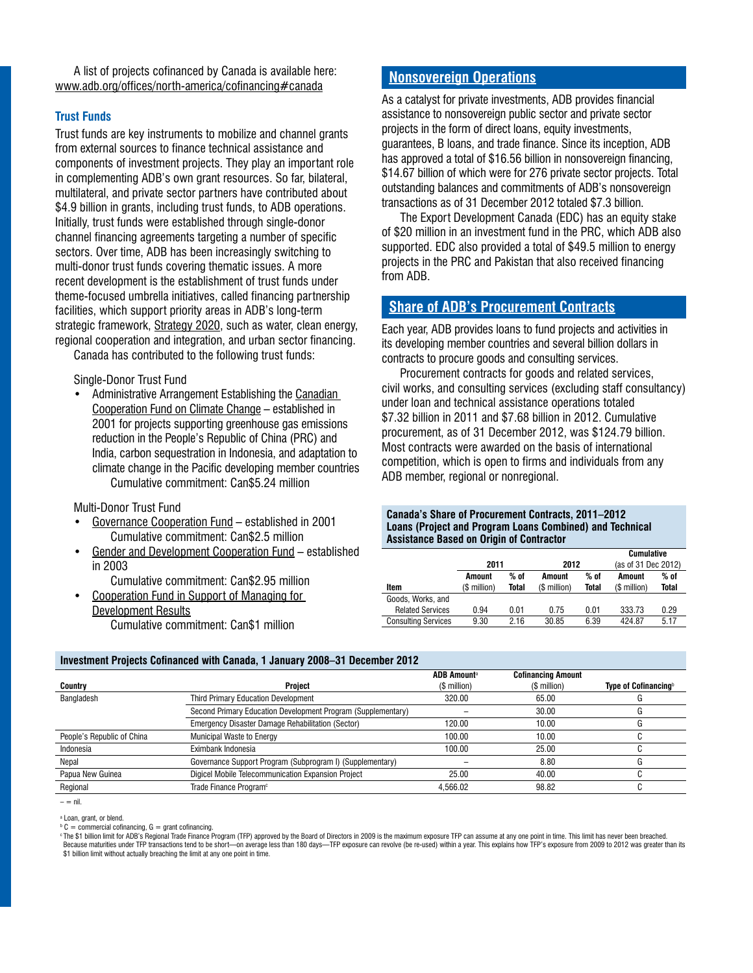A list of projects cofinanced by Canada is available here: <www.adb.org/offices/north-america/cofinancing#canada>

#### **Trust Funds**

Trust funds are key instruments to mobilize and channel grants from external sources to finance technical assistance and components of investment projects. They play an important role in complementing ADB's own grant resources. So far, bilateral, multilateral, and private sector partners have contributed about \$4.9 billion in grants, including trust funds, to ADB operations. Initially, trust funds were established through single-donor channel financing agreements targeting a number of specific sectors. Over time, ADB has been increasingly switching to multi-donor trust funds covering thematic issues. A more recent development is the establishment of trust funds under theme-focused umbrella initiatives, called financing partnership facilities, which support priority areas in ADB's long-term strategic framework, [Strategy 2020](http://www.adb.org/documents/strategy-2020-working-asia-and-pacific-free-poverty), such as water, clean energy, regional cooperation and integration, and urban sector financing.

Canada has contributed to the following trust funds:

Single-Donor Trust Fund

• Administrative Arrangement Establishing the Canadian [Cooperation Fund on Climate Change](http://www.adb.org/site/funds/funds/canadian-cooperation-fund-climate-change) – established in 2001 for projects supporting greenhouse gas emissions reduction in the People's Republic of China (PRC) and India, carbon sequestration in Indonesia, and adaptation to climate change in the Pacific developing member countries Cumulative commitment: Can\$5.24 million

Multi-Donor Trust Fund

- [Governance Cooperation Fund](http://www.adb.org/site/funds/funds/governance-cooperation-fund-gcf) established in 2001 Cumulative commitment: Can\$2.5 million
- [Gender and Development Cooperation Fund](http://www.adb.org/site/funds/funds/gender-and-development-cooperation-fund)  established in 2003
	- Cumulative commitment: Can\$2.95 million
- • [Cooperation Fund in Support of Managing for](http://www.adb.org/site/funds/funds/cooperation-fund-support-managing-development-results-mfdr)  [Development Results](http://www.adb.org/site/funds/funds/cooperation-fund-support-managing-development-results-mfdr)

Cumulative commitment: Can\$1 million

## **[Nonsovereign Operations](http://adb.org/site/private-sector-financing/main)**

As a catalyst for private investments, ADB provides financial assistance to nonsovereign public sector and private sector projects in the form of direct loans, equity investments, guarantees, B loans, and trade finance. Since its inception, ADB has approved a total of \$16.56 billion in nonsovereign financing. \$14.67 billion of which were for 276 private sector projects. Total outstanding balances and commitments of ADB's nonsovereign transactions as of 31 December 2012 totaled \$7.3 billion.

The Export Development Canada (EDC) has an equity stake of \$20 million in an investment fund in the PRC, which ADB also supported. EDC also provided a total of \$49.5 million to energy projects in the PRC and Pakistan that also received financing from ADB.

## **[Share of ADB's Procurement Contracts](http://adb.org/site/business-opportunities/operational-procurement)**

Each year, ADB provides loans to fund projects and activities in its developing member countries and several billion dollars in contracts to procure goods and consulting services.

Procurement contracts for goods and related services, civil works, and consulting services (excluding staff consultancy) under loan and technical assistance operations totaled \$7.32 billion in 2011 and \$7.68 billion in 2012. Cumulative procurement, as of 31 December 2012, was \$124.79 billion. Most contracts were awarded on the basis of international competition, which is open to firms and individuals from any ADB member, regional or nonregional.

**Canada's Share of Procurement Contracts, 2011–2012 Loans (Project and Program Loans Combined) and Technical Assistance Based on Origin of Contractor**

|                            |              |       |              |       | Cumulative          |       |
|----------------------------|--------------|-------|--------------|-------|---------------------|-------|
|                            | 2011         |       | 2012         |       | (as of 31 Dec 2012) |       |
|                            | Amount       | % of  | Amount       | % of  | Amount              | % of  |
| Item                       | (\$ million) | Total | (\$ million) | Total | (\$ million)        | Total |
| Goods, Works, and          |              |       |              |       |                     |       |
| <b>Related Services</b>    | 0.94         | 0.01  | 0.75         | 0.01  | 333.73              | 0.29  |
| <b>Consulting Services</b> | 9.30         | 2.16  | 30.85        | 6.39  | 424.87              | 5.17  |

#### **Investment Projects Cofinanced with Canada, 1 January 2008–31 December 2012**

|                            |                                                              | <b>ADB Amounta</b> | <b>Cofinancing Amount</b> |                              |
|----------------------------|--------------------------------------------------------------|--------------------|---------------------------|------------------------------|
| Country                    | Project                                                      | $$$ million)       | $$$ million)              | Type of Cofinancing $\delta$ |
| Bangladesh                 | Third Primary Education Development                          | 320.00             | 65.00                     |                              |
|                            | Second Primary Education Development Program (Supplementary) |                    | 30.00                     | G                            |
|                            | <b>Emergency Disaster Damage Rehabilitation (Sector)</b>     | 120.00             | 10.00                     |                              |
| People's Republic of China | <b>Municipal Waste to Energy</b>                             | 100.00             | 10.00                     |                              |
| Indonesia                  | Eximbank Indonesia                                           | 100.00             | 25.00                     |                              |
| Nepal                      | Governance Support Program (Subprogram I) (Supplementary)    |                    | 8.80                      |                              |
| Papua New Guinea           | Digicel Mobile Telecommunication Expansion Project           | 25.00              | 40.00                     |                              |
| Regional                   | Trade Finance Program <sup>c</sup>                           | 4.566.02           | 98.82                     |                              |

 $=$   $-$ 

a Loan, grant, or blend.

 $b$  C = commercial cofinancing, G = grant cofinancing.

c The \$1 billion limit for ADB's Regional Trade Finance Program (TFP) approved by the Board of Directors in 2009 is the maximum exposure TFP can assume at any one point in time. This limit has never been breached. Because maturities under TFP transactions tend to be short—on average less than 180 days—TFP exposure can revolve (be re-used) within a year. This explains how TFP's exposure from 2009 to 2012 was greater than its \$1 billion limit without actually breaching the limit at any one point in time.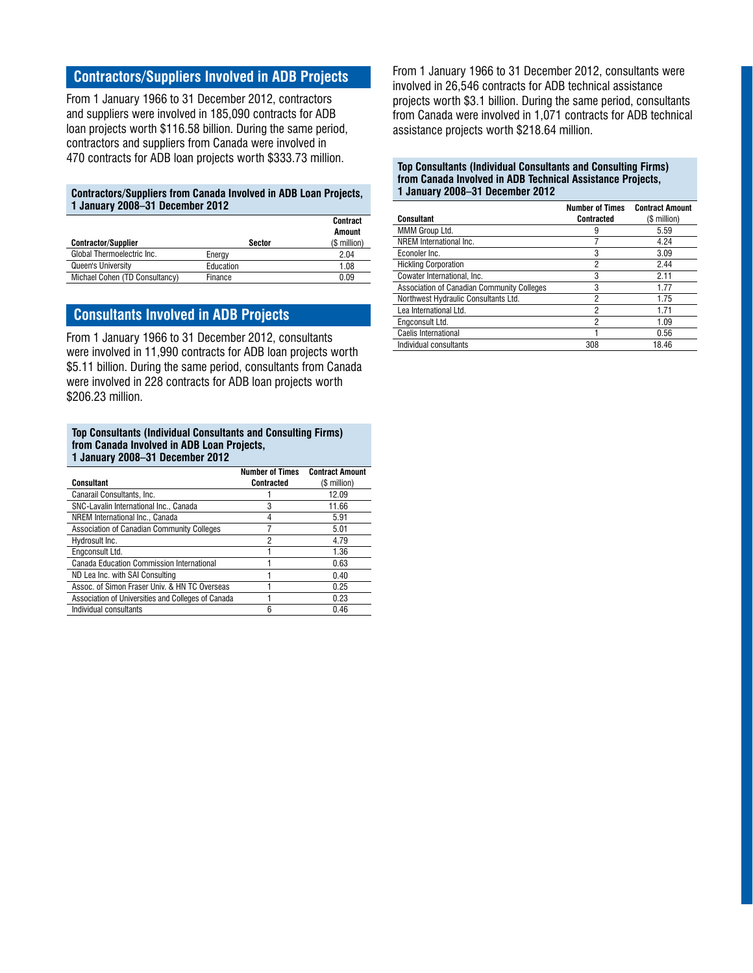## **Contractors/Suppliers Involved in ADB Projects**

From 1 January 1966 to 31 December 2012, contractors and suppliers were involved in 185,090 contracts for ADB loan projects worth \$116.58 billion. During the same period, contractors and suppliers from Canada were involved in 470 contracts for ADB loan projects worth \$333.73 million.

#### **Contractors/Suppliers from Canada Involved in ADB Loan Projects, 1 January 2008–31 December 2012**

|                                |               | Contract<br>Amount |
|--------------------------------|---------------|--------------------|
| <b>Contractor/Supplier</b>     | <b>Sector</b> | (\$ million)       |
| Global Thermoelectric Inc.     | Energy        | 2.04               |
| Queen's University             | Education     | 1.08               |
| Michael Cohen (TD Consultancy) | Finance       | 0.09               |

## **Consultants Involved in ADB Projects**

From 1 January 1966 to 31 December 2012, consultants were involved in 11,990 contracts for ADB loan projects worth \$5.11 billion. During the same period, consultants from Canada were involved in 228 contracts for ADB loan projects worth \$206.23 million.

#### **Top Consultants (Individual Consultants and Consulting Firms) from Canada Involved in ADB Loan Projects, 1 January 2008–31 December 2012**

|                                                    | <b>Number of Times</b> | <b>Contract Amount</b> |
|----------------------------------------------------|------------------------|------------------------|
| Consultant                                         | Contracted             | (\$ million)           |
| Canarail Consultants, Inc.                         |                        | 12.09                  |
| SNC-Lavalin International Inc., Canada             | 3                      | 11.66                  |
| NREM International Inc., Canada                    |                        | 5.91                   |
| Association of Canadian Community Colleges         |                        | 5.01                   |
| Hydrosult Inc.                                     | 2                      | 4.79                   |
| Engconsult Ltd.                                    |                        | 1.36                   |
| Canada Education Commission International          |                        | 0.63                   |
| ND Lea Inc. with SAI Consulting                    |                        | 0.40                   |
| Assoc. of Simon Fraser Univ. & HN TC Overseas      |                        | 0.25                   |
| Association of Universities and Colleges of Canada |                        | 0.23                   |
| Individual consultants                             | 6                      | 0.46                   |

From 1 January 1966 to 31 December 2012, consultants were involved in 26,546 contracts for ADB technical assistance projects worth \$3.1 billion. During the same period, consultants from Canada were involved in 1,071 contracts for ADB technical assistance projects worth \$218.64 million.

#### **Top Consultants (Individual Consultants and Consulting Firms) from Canada Involved in ADB Technical Assistance Projects, 1 January 2008–31 December 2012**

|                                            | <b>Number of Times</b> | <b>Contract Amount</b> |
|--------------------------------------------|------------------------|------------------------|
| <b>Consultant</b>                          | <b>Contracted</b>      | (\$ million)           |
| MMM Group Ltd.                             | 9                      | 5.59                   |
| NREM International Inc.                    |                        | 4.24                   |
| Econoler Inc.                              | 3                      | 3.09                   |
| <b>Hickling Corporation</b>                | 2                      | 2.44                   |
| Cowater International, Inc.                | 3                      | 2.11                   |
| Association of Canadian Community Colleges | 3                      | 1.77                   |
| Northwest Hydraulic Consultants Ltd.       | 2                      | 1.75                   |
| Lea International Ltd.                     | 2                      | 1.71                   |
| Engconsult Ltd.                            | 2                      | 1.09                   |
| Caelis International                       |                        | 0.56                   |
| Individual consultants                     | 308                    | 18.46                  |